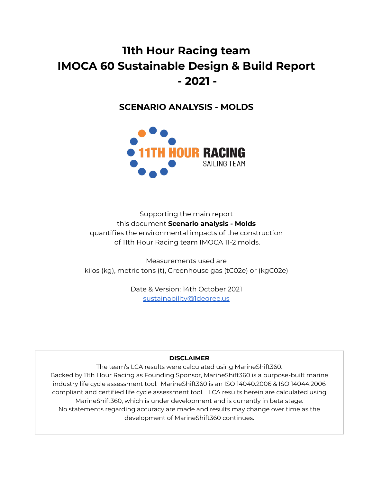# **11th Hour Racing team IMOCA 60 Sustainable Design & Build Report - 2021 -**

## **SCENARIO ANALYSIS - MOLDS**



Supporting the main report this document **Scenario analysis - Molds** quantifies the environmental impacts of the construction of 11th Hour Racing team IMOCA 11-2 molds.

Measurements used are kilos (kg), metric tons (t), Greenhouse gas (tC02e) or (kgC02e)

> Date & Version: 14th October 2021 [sustainability@1degree.us](mailto:sustainability@1degree.us)

#### **DISCLAIMER**

The team's LCA results were calculated using MarineShift360. Backed by 11th Hour Racing as Founding Sponsor, MarineShift360 is a purpose-built marine industry life cycle assessment tool. MarineShift360 is an ISO 14040:2006 & ISO 14044:2006 compliant and certified life cycle assessment tool. LCA results herein are calculated using MarineShift360, which is under development and is currently in beta stage. No statements regarding accuracy are made and results may change over time as the development of MarineShift360 continues.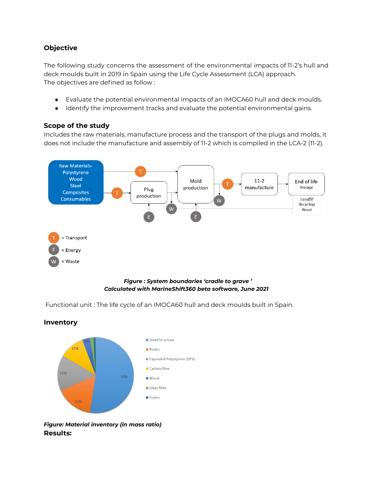### **Objective**

**Inventory**

The following study concerns the assessment of the environmental impacts of 11-2's hull and deck moulds built in 2019 in Spain using the Life Cycle Assessment (LCA) approach. The objectives are defined as follow :

- Evaluate the potential environmental impacts of an IMOCA60 hull and deck moulds.
- Identify the improvement tracks and evaluate the potential environmental gains.

## **Scope of the study**

Includes the raw materials, manufacture process and the transport of the plugs and molds, it does not include the manufacture and assembly of 11-2 which is compiled in the LCA-2 (11-2).



#### *Figure : System boundaries 'cradle to grave ' Calculated with MarineShift360 beta software, June 2021*

Functional unit : The life cycle of an IMOCA60 hull and deck moulds built in Spain.



*Figure: Material inventory (in mass ratio)* **Results:**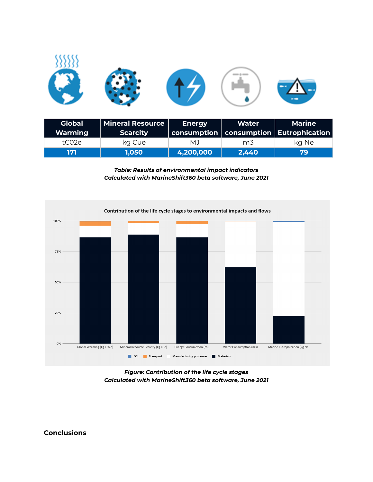

| <b>Global</b><br>Warming | Mineral Resource  <br><b>Scarcity</b> | <b>Energy</b> | Water          | <b>Marine</b><br>$\mid$ consumption $\mid$ consumption $\mid$ Eutrophication $\mid$ |
|--------------------------|---------------------------------------|---------------|----------------|-------------------------------------------------------------------------------------|
| tCO <sub>2e</sub>        | ka Cue                                | MJ.           | m <sub>3</sub> | ka Ne                                                                               |
| 171                      | 1,050                                 | 4,200,000     | 2,440          | 79                                                                                  |

*Table: Results of environmental impact indicators Calculated with MarineShift360 beta software, June 2021*



*Figure: Contribution of the life cycle stages Calculated with MarineShift360 beta software, June 2021*

**Conclusions**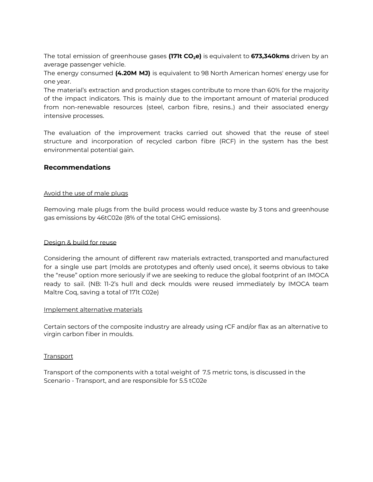The total emission of greenhouse gases **(171t CO2e)** is equivalent to **673,340kms** driven by an average passenger vehicle.

The energy consumed **(4.20M MJ)** is equivalent to 98 North American homes' energy use for one year.

The material's extraction and production stages contribute to more than 60% for the majority of the impact indicators. This is mainly due to the important amount of material produced from non-renewable resources (steel, carbon fibre, resins..) and their associated energy intensive processes.

The evaluation of the improvement tracks carried out showed that the reuse of steel structure and incorporation of recycled carbon fibre (RCF) in the system has the best environmental potential gain.

#### **Recommendations**

#### Avoid the use of male plugs

Removing male plugs from the build process would reduce waste by 3 tons and greenhouse gas emissions by 46tC02e (8% of the total GHG emissions).

#### Design & build for reuse

Considering the amount of different raw materials extracted, transported and manufactured for a single use part (molds are prototypes and oftenly used once), it seems obvious to take the "reuse" option more seriously if we are seeking to reduce the global footprint of an IMOCA ready to sail. (NB: 11-2's hull and deck moulds were reused immediately by IMOCA team Maître Coq, saving a total of 171t C02e)

#### Implement alternative materials

Certain sectors of the composite industry are already using rCF and/or flax as an alternative to virgin carbon fiber in moulds.

#### **Transport**

Transport of the components with a total weight of 7.5 metric tons, is discussed in the Scenario - Transport, and are responsible for 5.5 tC02e